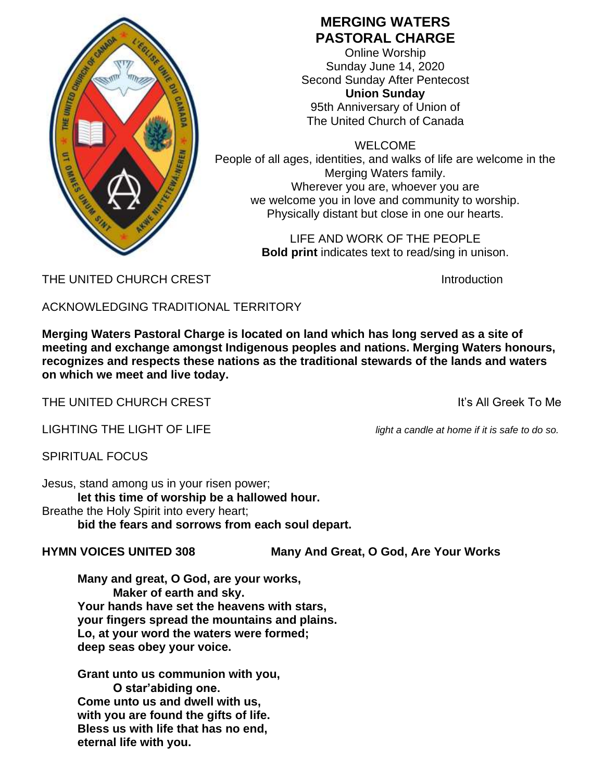

### **MERGING WATERS PASTORAL CHARGE**

Online Worship Sunday June 14, 2020 Second Sunday After Pentecost **Union Sunday** 95th Anniversary of Union of The United Church of Canada

WELCOME People of all ages, identities, and walks of life are welcome in the Merging Waters family. Wherever you are, whoever you are we welcome you in love and community to worship. Physically distant but close in one our hearts.

> LIFE AND WORK OF THE PEOPLE **Bold print** indicates text to read/sing in unison.

THE UNITED CHURCH CREST **Introduction** 

ACKNOWLEDGING TRADITIONAL TERRITORY

**Merging Waters Pastoral Charge is located on land which has long served as a site of meeting and exchange amongst Indigenous peoples and nations. Merging Waters honours, recognizes and respects these nations as the traditional stewards of the lands and waters on which we meet and live today.**

THE UNITED CHURCH CREST **It's All Greek To Me** 

LIGHTING THE LIGHT OF LIFE *light a candle at home if it is safe to do so.*

SPIRITUAL FOCUS

Jesus, stand among us in your risen power; **let this time of worship be a hallowed hour.** Breathe the Holy Spirit into every heart; **bid the fears and sorrows from each soul depart.**

**HYMN VOICES UNITED 308 Many And Great, O God, Are Your Works**

**Many and great, O God, are your works, Maker of earth and sky. Your hands have set the heavens with stars, your fingers spread the mountains and plains. Lo, at your word the waters were formed; deep seas obey your voice.**

**Grant unto us communion with you, O star'abiding one. Come unto us and dwell with us, with you are found the gifts of life. Bless us with life that has no end, eternal life with you.**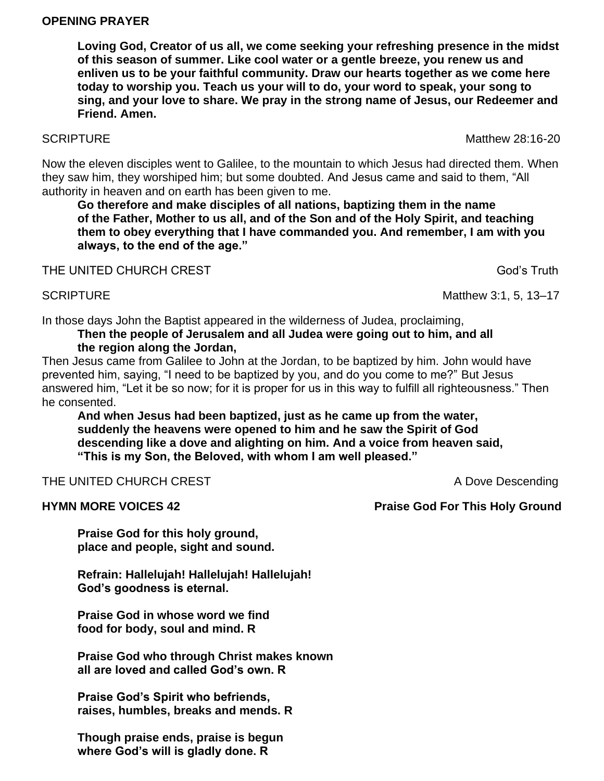### **OPENING PRAYER**

**Loving God, Creator of us all, we come seeking your refreshing presence in the midst of this season of summer. Like cool water or a gentle breeze, you renew us and enliven us to be your faithful community. Draw our hearts together as we come here today to worship you. Teach us your will to do, your word to speak, your song to sing, and your love to share. We pray in the strong name of Jesus, our Redeemer and Friend. Amen.**

#### SCRIPTURE Matthew 28:16-20

Now the eleven disciples went to Galilee, to the mountain to which Jesus had directed them. When they saw him, they worshiped him; but some doubted. And Jesus came and said to them, "All authority in heaven and on earth has been given to me.

**Go therefore and make disciples of all nations, baptizing them in the name of the Father, Mother to us all, and of the Son and of the Holy Spirit, and teaching them to obey everything that I have commanded you. And remember, I am with you always, to the end of the age."**

THE UNITED CHURCH CREST **God's Truth** 

SCRIPTURE Matthew 3:1, 5, 13–17

In those days John the Baptist appeared in the wilderness of Judea, proclaiming,

### **Then the people of Jerusalem and all Judea were going out to him, and all the region along the Jordan,**

Then Jesus came from Galilee to John at the Jordan, to be baptized by him. John would have prevented him, saying, "I need to be baptized by you, and do you come to me?" But Jesus answered him, "Let it be so now; for it is proper for us in this way to fulfill all righteousness." Then he consented.

**And when Jesus had been baptized, just as he came up from the water, suddenly the heavens were opened to him and he saw the Spirit of God descending like a dove and alighting on him. And a voice from heaven said, "This is my Son, the Beloved, with whom I am well pleased."**

#### THE UNITED CHURCH CREST **A Dove Descending**

### **Praise God for this holy ground, place and people, sight and sound.**

**Refrain: Hallelujah! Hallelujah! Hallelujah! God's goodness is eternal.**

**Praise God in whose word we find food for body, soul and mind. R**

**Praise God who through Christ makes known all are loved and called God's own. R**

**Praise God's Spirit who befriends, raises, humbles, breaks and mends. R**

**Though praise ends, praise is begun where God's will is gladly done. R**

**HYMN MORE VOICES 42 Praise God For This Holy Ground**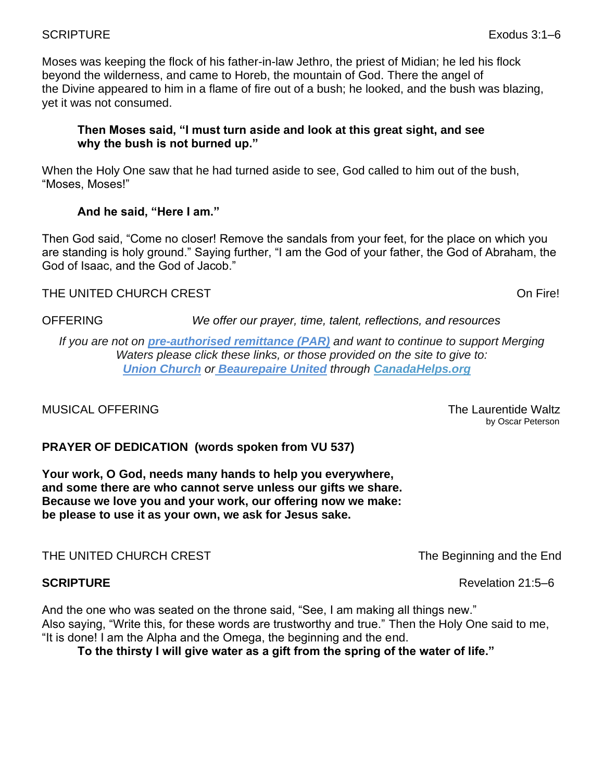Moses was keeping the flock of his father-in-law Jethro, the priest of Midian; he led his flock beyond the wilderness, and came to Horeb, the mountain of God. There the angel of the Divine appeared to him in a flame of fire out of a bush; he looked, and the bush was blazing, yet it was not consumed.

#### **Then Moses said, "I must turn aside and look at this great sight, and see why the bush is not burned up."**

When the Holy One saw that he had turned aside to see, God called to him out of the bush, "Moses, Moses!"

#### **And he said, "Here I am."**

Then God said, "Come no closer! Remove the sandals from your feet, for the place on which you are standing is holy ground." Saying further, "I am the God of your father, the God of Abraham, the God of Isaac, and the God of Jacob."

THE UNITED CHURCH CREST **CONSUMING THE UNITED CHURCH CREST** 

OFFERING *We offer our prayer, time, talent, reflections, and resources*

*If you are not on pre-authorised [remittance \(PAR\)](http://mergingwaters.ca/mt-content/uploads/2020/03/form_par-authorization.pdf) and want to continue to support Merging Waters please click these links, or those provided on the site to give to: [Union Church](https://www.canadahelps.org/en/charities/union-church-ste-anne-de-bellevue/) or [Beaurepaire United](https://www.canadahelps.org/en/charities/beaurepaire-united-church/) through [CanadaHelps.org](http://www.canadahelps.org/)* 

### MUSICAL OFFERING THE LAURENCE CONSUMING THE LAURENTIAN CONTROL CONTROL CONTROL CONTROL CONTROL CONTROL CONTROL CONTROL CONTROL CONTROL CONTROL CONTROL CONTROL CONTROL CONTROL CONTROL CONTROL CONTROL CONTROL CONTROL CONTROL

by Oscar Peterson

#### **PRAYER OF DEDICATION (words spoken from VU 537)**

**Your work, O God, needs many hands to help you everywhere, and some there are who cannot serve unless our gifts we share. Because we love you and your work, our offering now we make: be please to use it as your own, we ask for Jesus sake.** 

THE UNITED CHURCH CREST THE UNITED CHURCH CREST

And the one who was seated on the throne said, "See, I am making all things new." Also saying, "Write this, for these words are trustworthy and true." Then the Holy One said to me, "It is done! I am the Alpha and the Omega, the beginning and the end.

**To the thirsty I will give water as a gift from the spring of the water of life."**

**SCRIPTURE Revelation 21:5–6**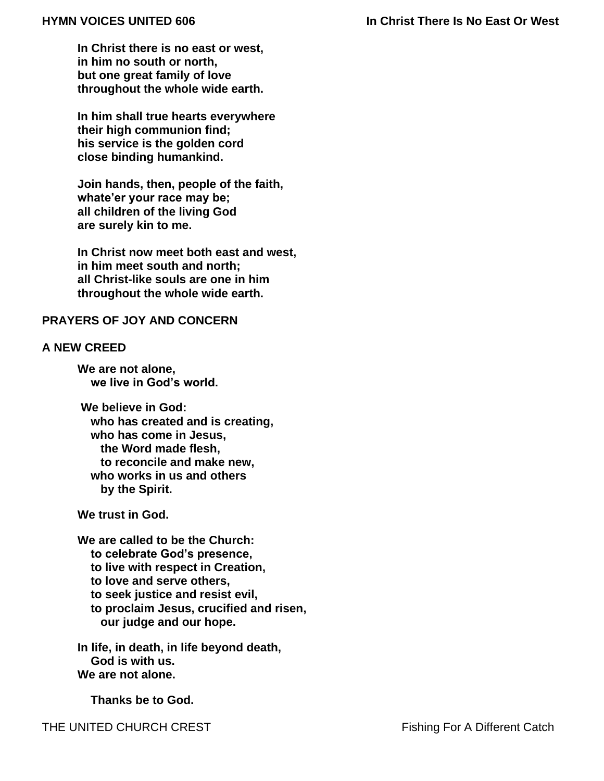**In Christ there is no east or west, in him no south or north, but one great family of love throughout the whole wide earth.**

**In him shall true hearts everywhere their high communion find; his service is the golden cord close binding humankind.**

**Join hands, then, people of the faith, whate'er your race may be; all children of the living God are surely kin to me.**

**In Christ now meet both east and west, in him meet south and north; all Christ-like souls are one in him throughout the whole wide earth.**

#### **PRAYERS OF JOY AND CONCERN**

#### **A NEW CREED**

**We are not alone, we live in God's world.**

**We believe in God: who has created and is creating, who has come in Jesus, the Word made flesh, to reconcile and make new, who works in us and others by the Spirit.**

**We trust in God.**

**We are called to be the Church: to celebrate God's presence, to live with respect in Creation, to love and serve others, to seek justice and resist evil, to proclaim Jesus, crucified and risen, our judge and our hope.**

**In life, in death, in life beyond death, God is with us. We are not alone.**

 **Thanks be to God.**

THE UNITED CHURCH CREST **Fishing For A Different Catch**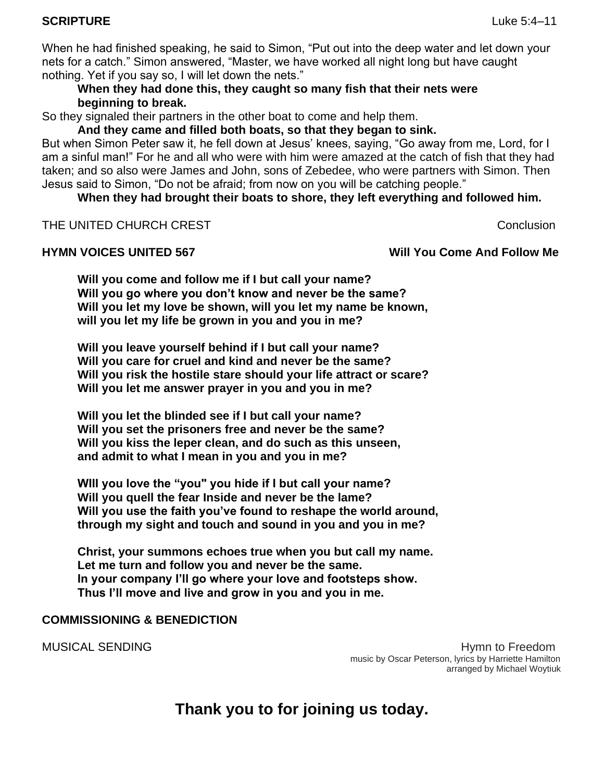#### **SCRIPTURE** Luke 5:4–11

When he had finished speaking, he said to Simon, "Put out into the deep water and let down your nets for a catch." Simon answered, "Master, we have worked all night long but have caught nothing. Yet if you say so, I will let down the nets."

#### **When they had done this, they caught so many fish that their nets were beginning to break.**

So they signaled their partners in the other boat to come and help them.

#### **And they came and filled both boats, so that they began to sink.**

But when Simon Peter saw it, he fell down at Jesus' knees, saying, "Go away from me, Lord, for I am a sinful man!" For he and all who were with him were amazed at the catch of fish that they had taken; and so also were James and John, sons of Zebedee, who were partners with Simon. Then Jesus said to Simon, "Do not be afraid; from now on you will be catching people."

**When they had brought their boats to shore, they left everything and followed him.**

THE UNITED CHURCH CREST **CONCLUSION** CONCLUSION

#### **HYMN VOICES UNITED 567 Will You Come And Follow Me**

**Will you come and follow me if I but call your name? Will you go where you don't know and never be the same? Will you let my love be shown, will you let my name be known, will you let my life be grown in you and you in me?**

**Will you leave yourself behind if I but call your name? Will you care for cruel and kind and never be the same? Will you risk the hostile stare should your life attract or scare? Will you let me answer prayer in you and you in me?**

**Will you let the blinded see if I but call your name? Will you set the prisoners free and never be the same? Will you kiss the leper clean, and do such as this unseen, and admit to what I mean in you and you in me?**

**WIII you love the "you" you hide if I but call your name? Will you quell the fear Inside and never be the lame? Will you use the faith you've found to reshape the world around, through my sight and touch and sound in you and you in me?**

**Christ, your summons echoes true when you but call my name. Let me turn and follow you and never be the same. In your company I'll go where your love and footsteps show. Thus I'll move and live and grow in you and you in me.**

#### **COMMISSIONING & BENEDICTION**

MUSICAL SENDING Hymn to Freedom music by Oscar Peterson, lyrics by Harriette Hamilton arranged by Michael Woytiuk

**Thank you to for joining us today.**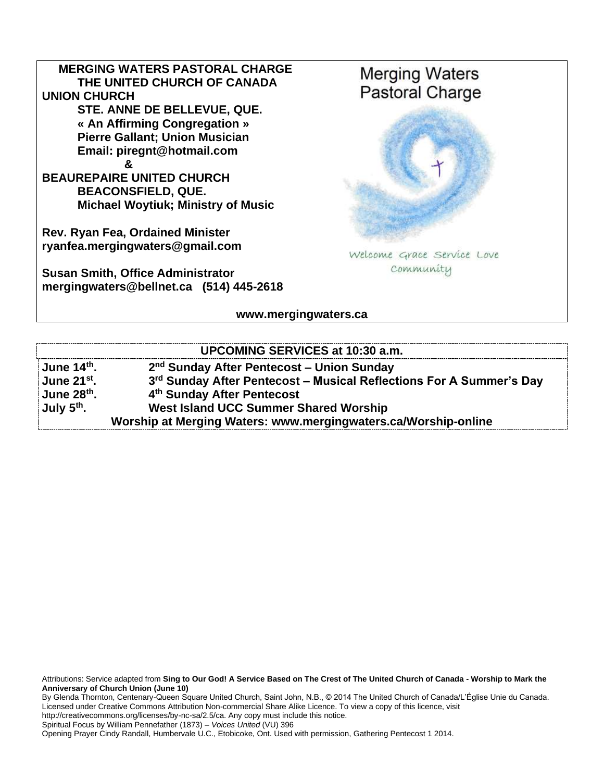| <b>MERGING WATERS PASTORAL CHARGE</b><br>THE UNITED CHURCH OF CANADA<br><b>UNION CHURCH</b> | <b>Merging Waters</b><br>Pastoral Charge |
|---------------------------------------------------------------------------------------------|------------------------------------------|
| STE. ANNE DE BELLEVUE, QUE.<br>« An Affirming Congregation »                                |                                          |
| <b>Pierre Gallant; Union Musician</b><br>Email: piregnt@hotmail.com                         |                                          |
| &<br><b>BEAUREPAIRE UNITED CHURCH</b>                                                       |                                          |
| <b>BEACONSFIELD, QUE.</b><br><b>Michael Woytiuk; Ministry of Music</b>                      |                                          |
| <b>Rev. Ryan Fea, Ordained Minister</b><br>ryanfea.mergingwaters@gmail.com                  |                                          |
|                                                                                             | Welcome Grace Service Love               |
| <b>Susan Smith, Office Administrator</b><br>mergingwaters@bellnet.ca (514) 445-2618         | Community                                |
| www.mergingwaters.ca                                                                        |                                          |

| <b>UPCOMING SERVICES at 10:30 a.m.</b> |                                                                     |
|----------------------------------------|---------------------------------------------------------------------|
| June $14th$ .                          | 2 <sup>nd</sup> Sunday After Pentecost - Union Sunday               |
| June $21^{st}$ .                       | 3rd Sunday After Pentecost - Musical Reflections For A Summer's Day |
| June 28th.                             | 4th Sunday After Pentecost                                          |
| July $5th$ .                           | <b>West Island UCC Summer Shared Worship</b>                        |
|                                        | Worship at Merging Waters: www.mergingwaters.ca/Worship-online      |

Attributions: Service adapted from **Sing to Our God! A Service Based on The Crest of The United Church of Canada - Worship to Mark the Anniversary of Church Union (June 10)**

By Glenda Thornton, Centenary-Queen Square United Church, Saint John, N.B., © 2014 The United Church of Canada/L'Église Unie du Canada. Licensed under Creative Commons Attribution Non-commercial Share Alike Licence. To view a copy of this licence, visit

http://creativecommons.org/licenses/by-nc-sa/2.5/ca. Any copy must include this notice.

Spiritual Focus by William Pennefather (1873) – *Voices United* (VU) 396

Opening Prayer Cindy Randall, Humbervale U.C., Etobicoke, Ont. Used with permission, Gathering Pentecost 1 2014.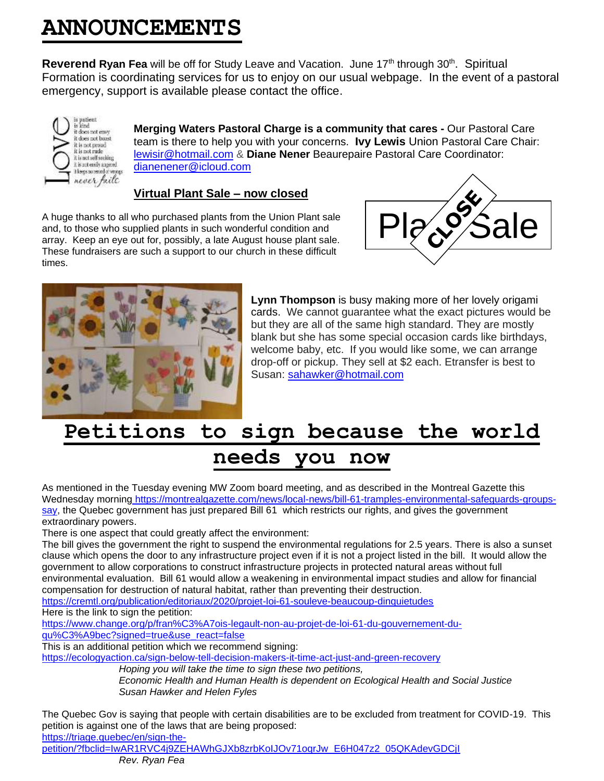# **ANNOUNCEMENTS**

**Reverend Ryan Fea** will be off for Study Leave and Vacation. June 17<sup>th</sup> through 30<sup>th</sup>. Spiritual Formation is coordinating services for us to enjoy on our usual webpage. In the event of a pastoral emergency, support is available please contact the office.



**Merging Waters Pastoral Charge is a community that cares -** Our Pastoral Care team is there to help you with your concerns. **Ivy Lewis** Union Pastoral Care Chair: [lewisir@hotmail.com](mailto:lewisir@hotmail.com) & **Diane Nener** Beaurepaire Pastoral Care Coordinator: [dianenener@icloud.com](mailto:dianenener@icloud.com)

#### **Virtual Plant Sale – now closed**

A huge thanks to all who purchased plants from the Union Plant sale and, to those who supplied plants in such wonderful condition and array. Keep an eye out for, possibly, a late August house plant sale. These fundraisers are such a support to our church in these difficult times.





**Lynn Thompson** is busy making more of her lovely origami cards. We cannot guarantee what the exact pictures would be but they are all of the same high standard. They are mostly blank but she has some special occasion cards like birthdays, welcome baby, etc. If you would like some, we can arrange drop-off or pickup. They sell at \$2 each. Etransfer is best to Susan: [sahawker@hotmail.com](mailto:sahawker@hotmail.com)

## **Petitions to sign because the world needs you now**

As mentioned in the Tuesday evening MW Zoom board meeting, and as described in the Montreal Gazette this Wednesday morning [https://montrealgazette.com/news/local-news/bill-61-tramples-environmental-safeguards-groups](https://montrealgazette.com/news/local-news/bill-61-tramples-environmental-safeguards-groups-say)[say,](https://montrealgazette.com/news/local-news/bill-61-tramples-environmental-safeguards-groups-say) the Quebec government has just prepared Bill 61 which restricts our rights, and gives the government extraordinary powers.

There is one aspect that could greatly affect the environment:

The bill gives the government the right to suspend the environmental regulations for 2.5 years. There is also a sunset clause which opens the door to any infrastructure project even if it is not a project listed in the bill. It would allow the government to allow corporations to construct infrastructure projects in protected natural areas without full environmental evaluation. Bill 61 would allow a weakening in environmental impact studies and allow for financial compensation for destruction of natural habitat, rather than preventing their destruction.

<https://cremtl.org/publication/editoriaux/2020/projet-loi-61-souleve-beaucoup-dinquietudes>

Here is the link to sign the petition:

[https://www.change.org/p/fran%C3%A7ois-legault-non-au-projet-de-loi-61-du-gouvernement-du](https://www.change.org/p/fran%C3%A7ois-legault-non-au-projet-de-loi-61-du-gouvernement-du-qu%C3%A9bec?signed=true&use_react=false)[qu%C3%A9bec?signed=true&use\\_react=false](https://www.change.org/p/fran%C3%A7ois-legault-non-au-projet-de-loi-61-du-gouvernement-du-qu%C3%A9bec?signed=true&use_react=false)

This is an additional petition which we recommend signing:

<https://ecologyaction.ca/sign-below-tell-decision-makers-it-time-act-just-and-green-recovery>

*Hoping you will take the time to sign these two petitions,*

*Economic Health and Human Health is dependent on Ecological Health and Social Justice Susan Hawker and Helen Fyles*

The Quebec Gov is saying that people with certain disabilities are to be excluded from treatment for COVID-19. This petition is against one of the laws that are being proposed:

[https://triage.quebec/en/sign-the-](https://triage.quebec/en/sign-the-petition/?fbclid=IwAR1RVC4j9ZEHAWhGJXb8zrbKoIJOv71oqrJw_E6H047z2_05QKAdevGDCjI)

[petition/?fbclid=IwAR1RVC4j9ZEHAWhGJXb8zrbKoIJOv71oqrJw\\_E6H047z2\\_05QKAdevGDCjI](https://triage.quebec/en/sign-the-petition/?fbclid=IwAR1RVC4j9ZEHAWhGJXb8zrbKoIJOv71oqrJw_E6H047z2_05QKAdevGDCjI) 

*Rev. Ryan Fea*